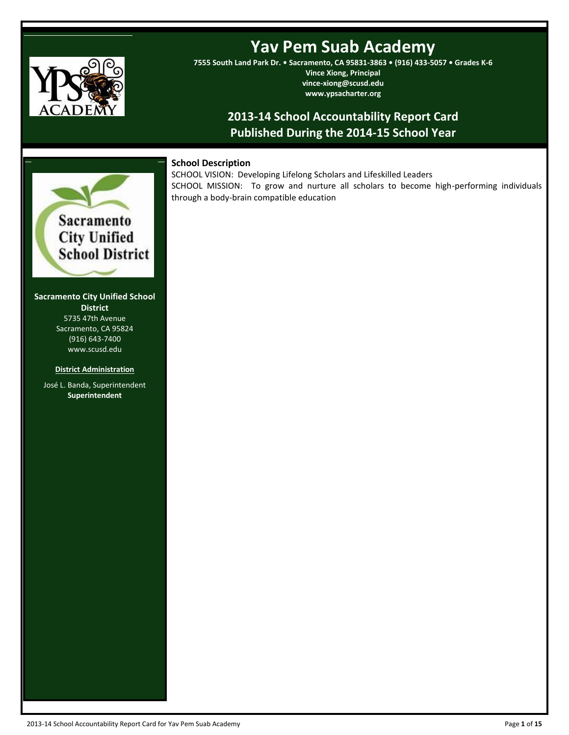

# **Yav Pem Suab Academy**

**7555 South Land Park Dr. • Sacramento, CA 95831-3863 • (916) 433-5057 • Grades K-6 Vince Xiong, Principal vince-xiong@scusd.edu www.ypsacharter.org**

# **2013-14 School Accountability Report Card Published During the 2014-15 School Year**

# **School Description**

SCHOOL VISION: Developing Lifelong Scholars and Lifeskilled Leaders SCHOOL MISSION: To grow and nurture all scholars to become high-performing individuals through a body-brain compatible education



**----**

**Sacramento City Unified School District** 5735 47th Avenue Sacramento, CA 95824 (916) 643-7400 www.scusd.edu

#### **District Administration**

José L. Banda, Superintendent **Superintendent**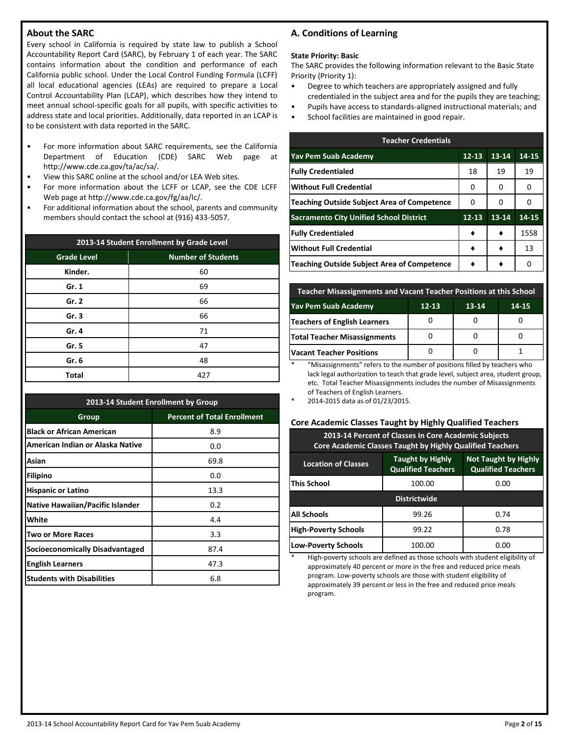# **About the SARC**

Every school in California is required by state law to publish a School Accountability Report Card (SARC), by February 1 of each year. The SARC contains information about the condition and performance of each California public school. Under the Local Control Funding Formula (LCFF) all local educational agencies (LEAs) are required to prepare a Local Control Accountability Plan (LCAP), which describes how they intend to meet annual school-specific goals for all pupils, with specific activities to address state and local priorities. Additionally, data reported in an LCAP is to be consistent with data reported in the SARC.

- For more information about SARC requirements, see the California Department of Education (CDE) SARC Web page at http://www.cde.ca.gov/ta/ac/sa/.
- View this SARC online at the school and/or LEA Web sites.
- For more information about the LCFF or LCAP, see the CDE LCFF Web page at http://www.cde.ca.gov/fg/aa/lc/.
- For additional information about the school, parents and community members should contact the school at (916) 433-5057.

| 2013-14 Student Enrollment by Grade Level       |     |  |  |  |  |  |
|-------------------------------------------------|-----|--|--|--|--|--|
| <b>Grade Level</b><br><b>Number of Students</b> |     |  |  |  |  |  |
| Kinder.                                         | 60  |  |  |  |  |  |
| Gr. 1                                           | 69  |  |  |  |  |  |
| Gr. 2                                           | 66  |  |  |  |  |  |
| Gr.3                                            | 66  |  |  |  |  |  |
| Gr. 4                                           | 71  |  |  |  |  |  |
| Gr. 5                                           | 47  |  |  |  |  |  |
| Gr. 6                                           | 48  |  |  |  |  |  |
| Total                                           | 427 |  |  |  |  |  |

| 2013-14 Student Enrollment by Group    |                                    |  |  |  |  |
|----------------------------------------|------------------------------------|--|--|--|--|
| Group                                  | <b>Percent of Total Enrollment</b> |  |  |  |  |
| <b>Black or African American</b>       | 8.9                                |  |  |  |  |
| American Indian or Alaska Native       | 0.0                                |  |  |  |  |
| Asian                                  | 69.8                               |  |  |  |  |
| <b>Filipino</b>                        | 0.0                                |  |  |  |  |
| <b>Hispanic or Latino</b>              | 13.3                               |  |  |  |  |
| Native Hawaiian/Pacific Islander       | 0.2                                |  |  |  |  |
| White                                  | 4.4                                |  |  |  |  |
| <b>Two or More Races</b>               | 3.3                                |  |  |  |  |
| <b>Socioeconomically Disadvantaged</b> | 87.4                               |  |  |  |  |
| <b>English Learners</b>                | 47.3                               |  |  |  |  |
| <b>Students with Disabilities</b>      | 6.8                                |  |  |  |  |

# **A. Conditions of Learning**

#### **State Priority: Basic**

The SARC provides the following information relevant to the Basic State Priority (Priority 1):

- Degree to which teachers are appropriately assigned and fully credentialed in the subject area and for the pupils they are teaching;
- Pupils have access to standards-aligned instructional materials; and
- School facilities are maintained in good repair.

| <b>Teacher Credentials</b>                     |           |       |              |  |  |  |  |
|------------------------------------------------|-----------|-------|--------------|--|--|--|--|
| <b>Yav Pem Suab Academy</b>                    | $12 - 13$ | 13-14 | 14-15        |  |  |  |  |
| <b>Fully Credentialed</b>                      | 18        | 19    | 19           |  |  |  |  |
| <b>Without Full Credential</b>                 | 0         | 0     | 0            |  |  |  |  |
| Teaching Outside Subject Area of Competence    | O         | n     | $\mathbf{I}$ |  |  |  |  |
| <b>Sacramento City Unified School District</b> | $12 - 13$ | 13-14 | 14-15        |  |  |  |  |
| <b>Fully Credentialed</b>                      |           |       | 1558         |  |  |  |  |
| <b>Without Full Credential</b>                 |           |       | 13           |  |  |  |  |
| Teaching Outside Subject Area of Competence    |           |       |              |  |  |  |  |

| Teacher Misassignments and Vacant Teacher Positions at this School |  |  |  |  |  |  |  |
|--------------------------------------------------------------------|--|--|--|--|--|--|--|
| <b>Yav Pem Suab Academy</b><br>$12 - 13$<br>$13-14$<br>14-15       |  |  |  |  |  |  |  |
| <b>Teachers of English Learners</b>                                |  |  |  |  |  |  |  |
| <b>Total Teacher Misassignments</b>                                |  |  |  |  |  |  |  |
| <b>Vacant Teacher Positions</b>                                    |  |  |  |  |  |  |  |

\* "Misassignments" refers to the number of positions filled by teachers who lack legal authorization to teach that grade level, subject area, student group, etc. Total Teacher Misassignments includes the number of Misassignments of Teachers of English Learners.

2014-2015 data as of 01/23/2015.

#### **Core Academic Classes Taught by Highly Qualified Teachers**

**2013-14 Percent of Classes In Core Academic Subjects Core Academic Classes Taught by Highly Qualified Teachers**

| <b>Location of Classes</b>  | <b>Taught by Highly</b><br><b>Qualified Teachers</b> | <b>Not Taught by Highly</b><br><b>Qualified Teachers</b> |  |  |
|-----------------------------|------------------------------------------------------|----------------------------------------------------------|--|--|
| This School                 | 100.00                                               | 0.00                                                     |  |  |
|                             | <b>Districtwide</b>                                  |                                                          |  |  |
| All Schools                 | 99.26                                                | 0.74                                                     |  |  |
| <b>High-Poverty Schools</b> | 99.22                                                | 0.78                                                     |  |  |
| <b>Low-Poverty Schools</b>  | 100.00                                               | 0.00                                                     |  |  |

High-poverty schools are defined as those schools with student eligibility of approximately 40 percent or more in the free and reduced price meals program. Low-poverty schools are those with student eligibility of approximately 39 percent or less in the free and reduced price meals program.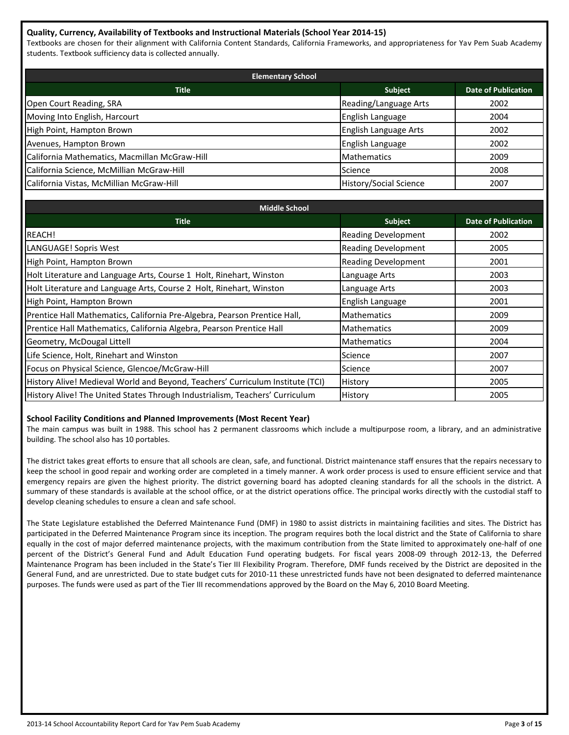# **Quality, Currency, Availability of Textbooks and Instructional Materials (School Year 2014-15)**

Textbooks are chosen for their alignment with California Content Standards, California Frameworks, and appropriateness for Yav Pem Suab Academy students. Textbook sufficiency data is collected annually.

| <b>Elementary School</b>                      |                               |                            |  |  |  |  |
|-----------------------------------------------|-------------------------------|----------------------------|--|--|--|--|
| <b>Title</b>                                  | Subject                       | <b>Date of Publication</b> |  |  |  |  |
| Open Court Reading, SRA                       | Reading/Language Arts         | 2002                       |  |  |  |  |
| Moving Into English, Harcourt                 | English Language              | 2004                       |  |  |  |  |
| High Point, Hampton Brown                     | English Language Arts         | 2002                       |  |  |  |  |
| Avenues, Hampton Brown                        | English Language              | 2002                       |  |  |  |  |
| California Mathematics, Macmillan McGraw-Hill | <b>Mathematics</b>            | 2009                       |  |  |  |  |
| California Science, McMillian McGraw-Hill     | Science                       | 2008                       |  |  |  |  |
| California Vistas, McMillian McGraw-Hill      | <b>History/Social Science</b> | 2007                       |  |  |  |  |

| <b>Middle School</b>                                                           |                            |                            |  |  |  |  |  |
|--------------------------------------------------------------------------------|----------------------------|----------------------------|--|--|--|--|--|
| <b>Title</b>                                                                   | <b>Subject</b>             | <b>Date of Publication</b> |  |  |  |  |  |
| REACH!                                                                         | <b>Reading Development</b> | 2002                       |  |  |  |  |  |
| LANGUAGE! Sopris West                                                          | <b>Reading Development</b> | 2005                       |  |  |  |  |  |
| High Point, Hampton Brown                                                      | <b>Reading Development</b> | 2001                       |  |  |  |  |  |
| Holt Literature and Language Arts, Course 1 Holt, Rinehart, Winston            | Language Arts              | 2003                       |  |  |  |  |  |
| Holt Literature and Language Arts, Course 2 Holt, Rinehart, Winston            | Language Arts              | 2003                       |  |  |  |  |  |
| High Point, Hampton Brown                                                      | English Language           | 2001                       |  |  |  |  |  |
| Prentice Hall Mathematics, California Pre-Algebra, Pearson Prentice Hall,      | <b>Mathematics</b>         | 2009                       |  |  |  |  |  |
| Prentice Hall Mathematics, California Algebra, Pearson Prentice Hall           | <b>Mathematics</b>         | 2009                       |  |  |  |  |  |
| Geometry, McDougal Littell                                                     | <b>Mathematics</b>         | 2004                       |  |  |  |  |  |
| Life Science, Holt, Rinehart and Winston                                       | Science                    | 2007                       |  |  |  |  |  |
| Focus on Physical Science, Glencoe/McGraw-Hill                                 | Science                    | 2007                       |  |  |  |  |  |
| History Alive! Medieval World and Beyond, Teachers' Curriculum Institute (TCI) | History                    | 2005                       |  |  |  |  |  |
| History Alive! The United States Through Industrialism, Teachers' Curriculum   | History                    | 2005                       |  |  |  |  |  |

#### **School Facility Conditions and Planned Improvements (Most Recent Year)**

The main campus was built in 1988. This school has 2 permanent classrooms which include a multipurpose room, a library, and an administrative building. The school also has 10 portables.

The district takes great efforts to ensure that all schools are clean, safe, and functional. District maintenance staff ensures that the repairs necessary to keep the school in good repair and working order are completed in a timely manner. A work order process is used to ensure efficient service and that emergency repairs are given the highest priority. The district governing board has adopted cleaning standards for all the schools in the district. A summary of these standards is available at the school office, or at the district operations office. The principal works directly with the custodial staff to develop cleaning schedules to ensure a clean and safe school.

The State Legislature established the Deferred Maintenance Fund (DMF) in 1980 to assist districts in maintaining facilities and sites. The District has participated in the Deferred Maintenance Program since its inception. The program requires both the local district and the State of California to share equally in the cost of major deferred maintenance projects, with the maximum contribution from the State limited to approximately one-half of one percent of the District's General Fund and Adult Education Fund operating budgets. For fiscal years 2008-09 through 2012-13, the Deferred Maintenance Program has been included in the State's Tier III Flexibility Program. Therefore, DMF funds received by the District are deposited in the General Fund, and are unrestricted. Due to state budget cuts for 2010-11 these unrestricted funds have not been designated to deferred maintenance purposes. The funds were used as part of the Tier III recommendations approved by the Board on the May 6, 2010 Board Meeting.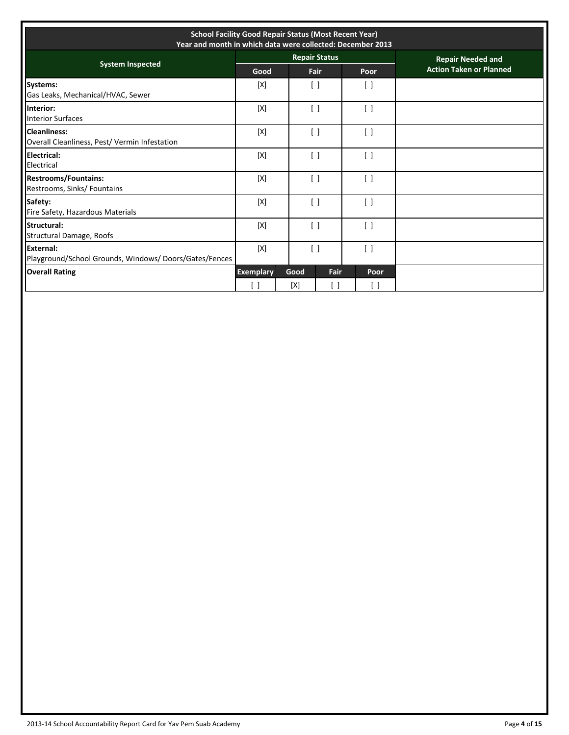| <b>School Facility Good Repair Status (Most Recent Year)</b><br>Year and month in which data were collected: December 2013 |                  |                    |                                 |                                 |                                |
|----------------------------------------------------------------------------------------------------------------------------|------------------|--------------------|---------------------------------|---------------------------------|--------------------------------|
| <b>System Inspected</b>                                                                                                    |                  |                    | <b>Repair Status</b>            |                                 | <b>Repair Needed and</b>       |
|                                                                                                                            | Good             |                    | Fair                            | Poor                            | <b>Action Taken or Planned</b> |
| <b>Systems:</b><br>Gas Leaks, Mechanical/HVAC, Sewer                                                                       | [X]              |                    | $\lceil$ $\rceil$               | $\left[ \quad \right]$          |                                |
| Interior:<br><b>Interior Surfaces</b>                                                                                      | [X]              |                    | $\left[ \ \right]$              | $\begin{bmatrix} \end{bmatrix}$ |                                |
| <b>Cleanliness:</b><br>Overall Cleanliness, Pest/ Vermin Infestation                                                       | [X]              | $\lceil$ $\rceil$  |                                 | $\begin{bmatrix} \end{bmatrix}$ |                                |
| <b>Electrical:</b><br>Electrical                                                                                           | [X]              |                    | $\begin{bmatrix} \end{bmatrix}$ | $\begin{bmatrix} \end{bmatrix}$ |                                |
| <b>Restrooms/Fountains:</b><br>Restrooms, Sinks/ Fountains                                                                 | [X]              |                    | $\left[ \quad \right]$          | $\begin{bmatrix} \end{bmatrix}$ |                                |
| Safety:<br>Fire Safety, Hazardous Materials                                                                                | [X]              |                    | $\lceil$ $\rceil$               | $\left[ \ \right]$              |                                |
| Structural:<br>Structural Damage, Roofs                                                                                    | [X]              |                    | $\left[ \quad \right]$          | $\begin{bmatrix} \end{bmatrix}$ |                                |
| External:<br>Playground/School Grounds, Windows/Doors/Gates/Fences                                                         | [X]              | $\left[ \ \right]$ |                                 | $\left[ \quad \right]$          |                                |
| <b>Overall Rating</b>                                                                                                      | <b>Exemplary</b> | Good               | Fair                            | Poor                            |                                |
|                                                                                                                            | 1                | [X]                |                                 | ΓI                              |                                |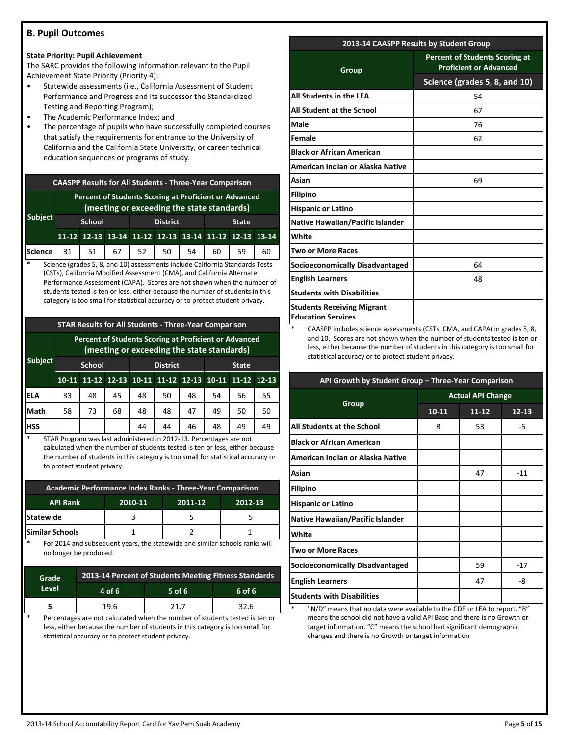# **B. Pupil Outcomes**

#### **State Priority: Pupil Achievement**

The SARC provides the following information relevant to the Pupil Achievement State Priority (Priority 4):

- Statewide assessments (i.e., California Assessment of Student Performance and Progress and its successor the Standardized Testing and Reporting Program);
- The Academic Performance Index; and
- The percentage of pupils who have successfully completed courses that satisfy the requirements for entrance to the University of California and the California State University, or career technical education sequences or programs of study.

| <b>CAASPP Results for All Students - Three-Year Comparison</b> |                                                                                                     |  |  |  |                                                       |  |  |    |    |
|----------------------------------------------------------------|-----------------------------------------------------------------------------------------------------|--|--|--|-------------------------------------------------------|--|--|----|----|
|                                                                | Percent of Students Scoring at Proficient or Advanced<br>(meeting or exceeding the state standards) |  |  |  |                                                       |  |  |    |    |
| <b>Subject</b>                                                 | <b>District</b><br><b>School</b><br><b>State</b>                                                    |  |  |  |                                                       |  |  |    |    |
|                                                                |                                                                                                     |  |  |  | 11-12 12-13 13-14 11-12 12-13 13-14 11-12 12-13 13-14 |  |  |    |    |
| Science   31   51   67   52   50   54   60                     |                                                                                                     |  |  |  |                                                       |  |  | 59 | 60 |

Science (grades 5, 8, and 10) assessments include California Standards Tests (CSTs), California Modified Assessment (CMA), and California Alternate Performance Assessment (CAPA). Scores are not shown when the number of students tested is ten or less, either because the number of students in this category is too small for statistical accuracy or to protect student privacy.

# **STAR Results for All Students - Three-Year Comparison**

|                | Percent of Students Scoring at Proficient or Advanced<br>(meeting or exceeding the state standards) |    |    |                 |                                           |    |              |    |           |
|----------------|-----------------------------------------------------------------------------------------------------|----|----|-----------------|-------------------------------------------|----|--------------|----|-----------|
| <b>Subject</b> | <b>School</b>                                                                                       |    |    | <b>District</b> |                                           |    | <b>State</b> |    |           |
|                | $10 - 11$                                                                                           |    |    |                 | 11-12 12-13 10-11 11-12 12-13 10-11 11-12 |    |              |    | $12 - 13$ |
| <b>ELA</b>     | 33                                                                                                  | 48 | 45 | 48              | 50                                        | 48 | 54           | 56 | 55        |
| Math           | 58                                                                                                  | 73 | 68 | 48              | 48                                        | 47 | 49           | 50 | 50        |
| <b>HSS</b>     |                                                                                                     |    |    | 44              | 44                                        | 46 | 48           | 49 | 49        |

STAR Program was last administered in 2012-13. Percentages are not calculated when the number of students tested is ten or less, either because the number of students in this category is too small for statistical accuracy or to protect student privacy.

| Academic Performance Index Ranks - Three-Year Comparison |  |  |  |  |  |  |  |
|----------------------------------------------------------|--|--|--|--|--|--|--|
| <b>API Rank</b><br>2010-11<br>2011-12<br>2012-13         |  |  |  |  |  |  |  |
| <b>Statewide</b>                                         |  |  |  |  |  |  |  |
| <b>Similar Schools</b>                                   |  |  |  |  |  |  |  |

For 2014 and subsequent years, the statewide and similar schools ranks will no longer be produced.

| Grade | 2013-14 Percent of Students Meeting Fitness Standards<br>Level<br>$4$ of 6<br>6 of 6<br>$5$ of 6 |      |      |  |  |  |  |
|-------|--------------------------------------------------------------------------------------------------|------|------|--|--|--|--|
|       |                                                                                                  |      |      |  |  |  |  |
|       | 19.6                                                                                             | 21 7 | 32.6 |  |  |  |  |

Percentages are not calculated when the number of students tested is ten or less, either because the number of students in this category is too small for statistical accuracy or to protect student privacy.

# **2013-14 CAASPP Results by Student Group**

| Group                                                          | <b>Percent of Students Scoring at</b><br><b>Proficient or Advanced</b> |  |  |
|----------------------------------------------------------------|------------------------------------------------------------------------|--|--|
|                                                                | Science (grades 5, 8, and 10)                                          |  |  |
| All Students in the LEA                                        | 54                                                                     |  |  |
| All Student at the School                                      | 67                                                                     |  |  |
| Male                                                           | 76                                                                     |  |  |
| Female                                                         | 62                                                                     |  |  |
| <b>Black or African American</b>                               |                                                                        |  |  |
| American Indian or Alaska Native                               |                                                                        |  |  |
| Asian                                                          | 69                                                                     |  |  |
| <b>Filipino</b>                                                |                                                                        |  |  |
| <b>Hispanic or Latino</b>                                      |                                                                        |  |  |
| <b>Native Hawaiian/Pacific Islander</b>                        |                                                                        |  |  |
| White                                                          |                                                                        |  |  |
| <b>Two or More Races</b>                                       |                                                                        |  |  |
| Socioeconomically Disadvantaged                                | 64                                                                     |  |  |
| <b>English Learners</b>                                        | 48                                                                     |  |  |
| <b>Students with Disabilities</b>                              |                                                                        |  |  |
| <b>Students Receiving Migrant</b><br><b>Education Services</b> |                                                                        |  |  |

CAASPP includes science assessments (CSTs, CMA, and CAPA) in grades 5, 8, and 10. Scores are not shown when the number of students tested is ten or less, either because the number of students in this category is too small for statistical accuracy or to protect student privacy.

| API Growth by Student Group - Three-Year Comparison |                          |           |           |  |  |  |
|-----------------------------------------------------|--------------------------|-----------|-----------|--|--|--|
|                                                     | <b>Actual API Change</b> |           |           |  |  |  |
| Group                                               | $10 - 11$                | $11 - 12$ | $12 - 13$ |  |  |  |
| All Students at the School                          | B                        | 53        | -5        |  |  |  |
| <b>Black or African American</b>                    |                          |           |           |  |  |  |
| American Indian or Alaska Native                    |                          |           |           |  |  |  |
| Asian                                               |                          | 47        | $-11$     |  |  |  |
| <b>Filipino</b>                                     |                          |           |           |  |  |  |
| <b>Hispanic or Latino</b>                           |                          |           |           |  |  |  |
| <b>Native Hawaiian/Pacific Islander</b>             |                          |           |           |  |  |  |
| White                                               |                          |           |           |  |  |  |
| <b>Two or More Races</b>                            |                          |           |           |  |  |  |
| <b>Socioeconomically Disadvantaged</b>              |                          | 59        | $-17$     |  |  |  |
| <b>English Learners</b>                             |                          | 47        | -8        |  |  |  |
| <b>Students with Disabilities</b>                   |                          |           |           |  |  |  |

"N/D" means that no data were available to the CDE or LEA to report. "B" means the school did not have a valid API Base and there is no Growth or target information. "C" means the school had significant demographic changes and there is no Growth or target information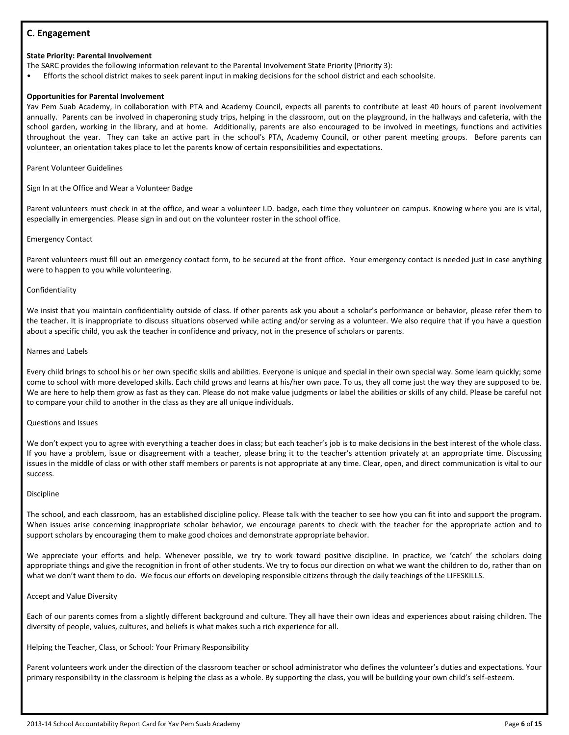# **C. Engagement**

#### **State Priority: Parental Involvement**

The SARC provides the following information relevant to the Parental Involvement State Priority (Priority 3):

• Efforts the school district makes to seek parent input in making decisions for the school district and each schoolsite.

#### **Opportunities for Parental Involvement**

Yav Pem Suab Academy, in collaboration with PTA and Academy Council, expects all parents to contribute at least 40 hours of parent involvement annually. Parents can be involved in chaperoning study trips, helping in the classroom, out on the playground, in the hallways and cafeteria, with the school garden, working in the library, and at home. Additionally, parents are also encouraged to be involved in meetings, functions and activities throughout the year. They can take an active part in the school's PTA, Academy Council, or other parent meeting groups. Before parents can volunteer, an orientation takes place to let the parents know of certain responsibilities and expectations.

Parent Volunteer Guidelines

Sign In at the Office and Wear a Volunteer Badge

Parent volunteers must check in at the office, and wear a volunteer I.D. badge, each time they volunteer on campus. Knowing where you are is vital, especially in emergencies. Please sign in and out on the volunteer roster in the school office.

#### Emergency Contact

Parent volunteers must fill out an emergency contact form, to be secured at the front office. Your emergency contact is needed just in case anything were to happen to you while volunteering.

#### Confidentiality

We insist that you maintain confidentiality outside of class. If other parents ask you about a scholar's performance or behavior, please refer them to the teacher. It is inappropriate to discuss situations observed while acting and/or serving as a volunteer. We also require that if you have a question about a specific child, you ask the teacher in confidence and privacy, not in the presence of scholars or parents.

#### Names and Labels

Every child brings to school his or her own specific skills and abilities. Everyone is unique and special in their own special way. Some learn quickly; some come to school with more developed skills. Each child grows and learns at his/her own pace. To us, they all come just the way they are supposed to be. We are here to help them grow as fast as they can. Please do not make value judgments or label the abilities or skills of any child. Please be careful not to compare your child to another in the class as they are all unique individuals.

#### Questions and Issues

We don't expect you to agree with everything a teacher does in class; but each teacher's job is to make decisions in the best interest of the whole class. If you have a problem, issue or disagreement with a teacher, please bring it to the teacher's attention privately at an appropriate time. Discussing issues in the middle of class or with other staff members or parents is not appropriate at any time. Clear, open, and direct communication is vital to our success.

#### Discipline

The school, and each classroom, has an established discipline policy. Please talk with the teacher to see how you can fit into and support the program. When issues arise concerning inappropriate scholar behavior, we encourage parents to check with the teacher for the appropriate action and to support scholars by encouraging them to make good choices and demonstrate appropriate behavior.

We appreciate your efforts and help. Whenever possible, we try to work toward positive discipline. In practice, we 'catch' the scholars doing appropriate things and give the recognition in front of other students. We try to focus our direction on what we want the children to do, rather than on what we don't want them to do. We focus our efforts on developing responsible citizens through the daily teachings of the LIFESKILLS.

#### Accept and Value Diversity

Each of our parents comes from a slightly different background and culture. They all have their own ideas and experiences about raising children. The diversity of people, values, cultures, and beliefs is what makes such a rich experience for all.

Helping the Teacher, Class, or School: Your Primary Responsibility

Parent volunteers work under the direction of the classroom teacher or school administrator who defines the volunteer's duties and expectations. Your primary responsibility in the classroom is helping the class as a whole. By supporting the class, you will be building your own child's self-esteem.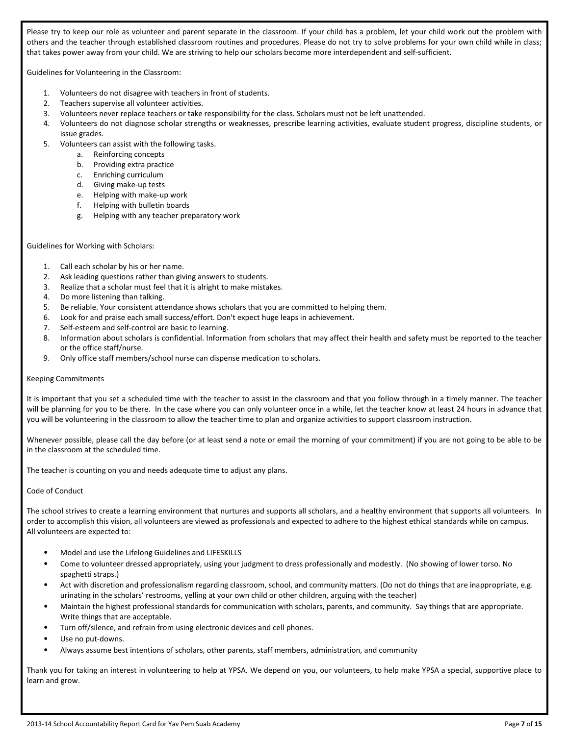Please try to keep our role as volunteer and parent separate in the classroom. If your child has a problem, let your child work out the problem with others and the teacher through established classroom routines and procedures. Please do not try to solve problems for your own child while in class; that takes power away from your child. We are striving to help our scholars become more interdependent and self-sufficient.

Guidelines for Volunteering in the Classroom:

- 1. Volunteers do not disagree with teachers in front of students.
- 2. Teachers supervise all volunteer activities.
- 3. Volunteers never replace teachers or take responsibility for the class. Scholars must not be left unattended.
- 4. Volunteers do not diagnose scholar strengths or weaknesses, prescribe learning activities, evaluate student progress, discipline students, or issue grades.
- 5. Volunteers can assist with the following tasks.
	- a. Reinforcing concepts
	- b. Providing extra practice
	- c. Enriching curriculum
	- d. Giving make-up tests
	- e. Helping with make-up work
	- f. Helping with bulletin boards
	- g. Helping with any teacher preparatory work

#### Guidelines for Working with Scholars:

- 1. Call each scholar by his or her name.
- 2. Ask leading questions rather than giving answers to students.
- 3. Realize that a scholar must feel that it is alright to make mistakes.
- 4. Do more listening than talking.
- 5. Be reliable. Your consistent attendance shows scholars that you are committed to helping them.
- 6. Look for and praise each small success/effort. Don't expect huge leaps in achievement.
- 7. Self-esteem and self-control are basic to learning.
- 8. Information about scholars is confidential. Information from scholars that may affect their health and safety must be reported to the teacher or the office staff/nurse.
- 9. Only office staff members/school nurse can dispense medication to scholars.

#### Keeping Commitments

It is important that you set a scheduled time with the teacher to assist in the classroom and that you follow through in a timely manner. The teacher will be planning for you to be there. In the case where you can only volunteer once in a while, let the teacher know at least 24 hours in advance that you will be volunteering in the classroom to allow the teacher time to plan and organize activities to support classroom instruction.

Whenever possible, please call the day before (or at least send a note or email the morning of your commitment) if you are not going to be able to be in the classroom at the scheduled time.

The teacher is counting on you and needs adequate time to adjust any plans.

#### Code of Conduct

The school strives to create a learning environment that nurtures and supports all scholars, and a healthy environment that supports all volunteers. In order to accomplish this vision, all volunteers are viewed as professionals and expected to adhere to the highest ethical standards while on campus. All volunteers are expected to:

- Model and use the Lifelong Guidelines and LIFESKILLS
- Come to volunteer dressed appropriately, using your judgment to dress professionally and modestly. (No showing of lower torso. No spaghetti straps.)
- Act with discretion and professionalism regarding classroom, school, and community matters. (Do not do things that are inappropriate, e.g. urinating in the scholars' restrooms, yelling at your own child or other children, arguing with the teacher)
- Maintain the highest professional standards for communication with scholars, parents, and community. Say things that are appropriate. Write things that are acceptable.
- Turn off/silence, and refrain from using electronic devices and cell phones.
- Use no put-downs.
- Always assume best intentions of scholars, other parents, staff members, administration, and community

Thank you for taking an interest in volunteering to help at YPSA. We depend on you, our volunteers, to help make YPSA a special, supportive place to learn and grow.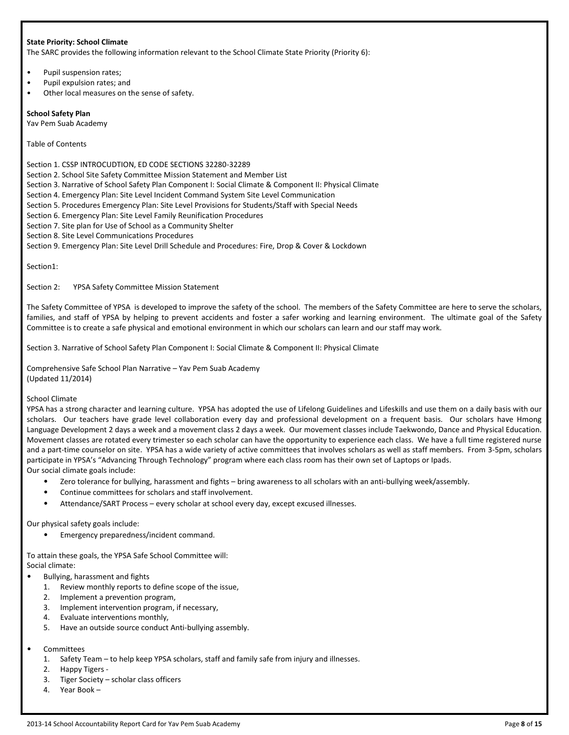#### **State Priority: School Climate**

The SARC provides the following information relevant to the School Climate State Priority (Priority 6):

- Pupil suspension rates;
- Pupil expulsion rates; and
- Other local measures on the sense of safety.

#### **School Safety Plan**

Yav Pem Suab Academy

Table of Contents

Section 1. CSSP INTROCUDTION, ED CODE SECTIONS 32280-32289

Section 2. School Site Safety Committee Mission Statement and Member List

Section 3. Narrative of School Safety Plan Component I: Social Climate & Component II: Physical Climate

Section 4. Emergency Plan: Site Level Incident Command System Site Level Communication

Section 5. Procedures Emergency Plan: Site Level Provisions for Students/Staff with Special Needs

Section 6. Emergency Plan: Site Level Family Reunification Procedures

Section 7. Site plan for Use of School as a Community Shelter

Section 8. Site Level Communications Procedures

Section 9. Emergency Plan: Site Level Drill Schedule and Procedures: Fire, Drop & Cover & Lockdown

Section1:

Section 2: YPSA Safety Committee Mission Statement

The Safety Committee of YPSA is developed to improve the safety of the school. The members of the Safety Committee are here to serve the scholars, families, and staff of YPSA by helping to prevent accidents and foster a safer working and learning environment. The ultimate goal of the Safety Committee is to create a safe physical and emotional environment in which our scholars can learn and our staff may work.

Section 3. Narrative of School Safety Plan Component I: Social Climate & Component II: Physical Climate

Comprehensive Safe School Plan Narrative – Yav Pem Suab Academy (Updated 11/2014)

#### School Climate

YPSA has a strong character and learning culture. YPSA has adopted the use of Lifelong Guidelines and Lifeskills and use them on a daily basis with our scholars. Our teachers have grade level collaboration every day and professional development on a frequent basis. Our scholars have Hmong Language Development 2 days a week and a movement class 2 days a week. Our movement classes include Taekwondo, Dance and Physical Education. Movement classes are rotated every trimester so each scholar can have the opportunity to experience each class. We have a full time registered nurse and a part-time counselor on site. YPSA has a wide variety of active committees that involves scholars as well as staff members. From 3-5pm, scholars participate in YPSA's "Advancing Through Technology" program where each class room has their own set of Laptops or Ipads. Our social climate goals include:

- Zero tolerance for bullying, harassment and fights bring awareness to all scholars with an anti-bullying week/assembly.
- Continue committees for scholars and staff involvement.
- Attendance/SART Process every scholar at school every day, except excused illnesses.

Our physical safety goals include:

• Emergency preparedness/incident command.

To attain these goals, the YPSA Safe School Committee will: Social climate:

- Bullying, harassment and fights
- 1. Review monthly reports to define scope of the issue,
- 2. Implement a prevention program,
- 3. Implement intervention program, if necessary,
- 4. Evaluate interventions monthly,
- 5. Have an outside source conduct Anti-bullying assembly.

#### **Committees**

- 1. Safety Team to help keep YPSA scholars, staff and family safe from injury and illnesses.
- 2. Happy Tigers -
- 3. Tiger Society scholar class officers
- 4. Year Book –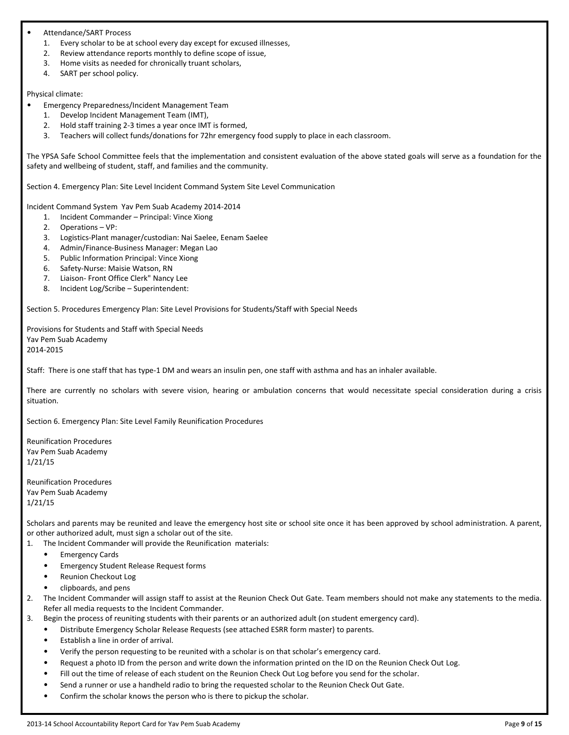#### • Attendance/SART Process

- 1. Every scholar to be at school every day except for excused illnesses,
- 2. Review attendance reports monthly to define scope of issue,
- 3. Home visits as needed for chronically truant scholars,
- 4. SART per school policy.

#### Physical climate:

- Emergency Preparedness/Incident Management Team
	- 1. Develop Incident Management Team (IMT),
	- 2. Hold staff training 2-3 times a year once IMT is formed,
	- 3. Teachers will collect funds/donations for 72hr emergency food supply to place in each classroom.

The YPSA Safe School Committee feels that the implementation and consistent evaluation of the above stated goals will serve as a foundation for the safety and wellbeing of student, staff, and families and the community.

Section 4. Emergency Plan: Site Level Incident Command System Site Level Communication

Incident Command System Yav Pem Suab Academy 2014-2014

- 1. Incident Commander Principal: Vince Xiong
- 2. Operations VP:
- 3. Logistics-Plant manager/custodian: Nai Saelee, Eenam Saelee
- 4. Admin/Finance-Business Manager: Megan Lao
- 5. Public Information Principal: Vince Xiong
- 6. Safety-Nurse: Maisie Watson, RN
- 7. Liaison- Front Office Clerk" Nancy Lee
- 8. Incident Log/Scribe Superintendent:

Section 5. Procedures Emergency Plan: Site Level Provisions for Students/Staff with Special Needs

Provisions for Students and Staff with Special Needs Yav Pem Suab Academy 2014-2015

Staff: There is one staff that has type-1 DM and wears an insulin pen, one staff with asthma and has an inhaler available.

There are currently no scholars with severe vision, hearing or ambulation concerns that would necessitate special consideration during a crisis situation.

Section 6. Emergency Plan: Site Level Family Reunification Procedures

Reunification Procedures Yav Pem Suab Academy 1/21/15

Reunification Procedures Yav Pem Suab Academy 1/21/15

Scholars and parents may be reunited and leave the emergency host site or school site once it has been approved by school administration. A parent, or other authorized adult, must sign a scholar out of the site.

- 1. The Incident Commander will provide the Reunification materials:
	- Emergency Cards
	- Emergency Student Release Request forms
	- Reunion Checkout Log
	- clipboards, and pens
- 2. The Incident Commander will assign staff to assist at the Reunion Check Out Gate. Team members should not make any statements to the media. Refer all media requests to the Incident Commander.
- 3. Begin the process of reuniting students with their parents or an authorized adult (on student emergency card).
	- Distribute Emergency Scholar Release Requests (see attached ESRR form master) to parents.
	- Establish a line in order of arrival.
	- Verify the person requesting to be reunited with a scholar is on that scholar's emergency card.
	- Request a photo ID from the person and write down the information printed on the ID on the Reunion Check Out Log.
	- Fill out the time of release of each student on the Reunion Check Out Log before you send for the scholar.
	- Send a runner or use a handheld radio to bring the requested scholar to the Reunion Check Out Gate.
	- Confirm the scholar knows the person who is there to pickup the scholar.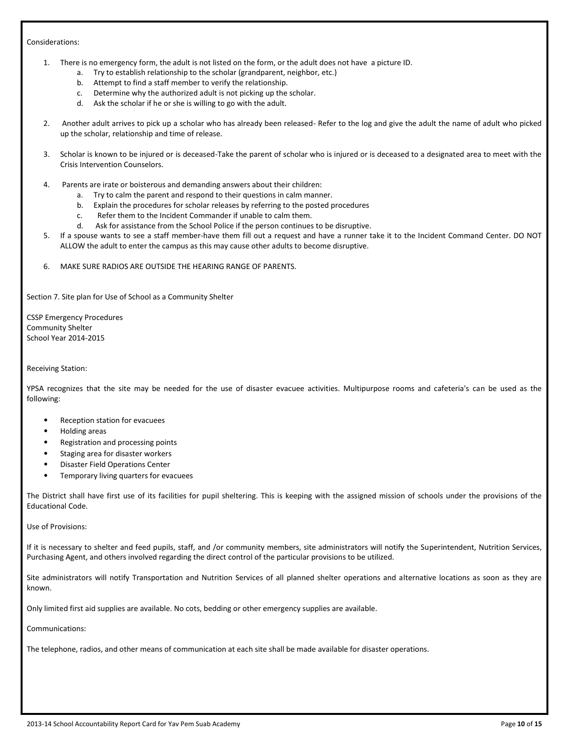#### Considerations:

- 1. There is no emergency form, the adult is not listed on the form, or the adult does not have a picture ID.
	- a. Try to establish relationship to the scholar (grandparent, neighbor, etc.)
	- b. Attempt to find a staff member to verify the relationship.
	- c. Determine why the authorized adult is not picking up the scholar.
	- d. Ask the scholar if he or she is willing to go with the adult.
- 2. Another adult arrives to pick up a scholar who has already been released- Refer to the log and give the adult the name of adult who picked up the scholar, relationship and time of release.
- 3. Scholar is known to be injured or is deceased-Take the parent of scholar who is injured or is deceased to a designated area to meet with the Crisis Intervention Counselors.
- 4. Parents are irate or boisterous and demanding answers about their children:
	- a. Try to calm the parent and respond to their questions in calm manner.
	- b. Explain the procedures for scholar releases by referring to the posted procedures
	- c. Refer them to the Incident Commander if unable to calm them.
	- d. Ask for assistance from the School Police if the person continues to be disruptive.
- 5. If a spouse wants to see a staff member-have them fill out a request and have a runner take it to the Incident Command Center. DO NOT ALLOW the adult to enter the campus as this may cause other adults to become disruptive.
- 6. MAKE SURE RADIOS ARE OUTSIDE THE HEARING RANGE OF PARENTS.

Section 7. Site plan for Use of School as a Community Shelter

CSSP Emergency Procedures Community Shelter School Year 2014-2015

#### Receiving Station:

YPSA recognizes that the site may be needed for the use of disaster evacuee activities. Multipurpose rooms and cafeteria's can be used as the following:

- Reception station for evacuees
- Holding areas
- Registration and processing points
- Staging area for disaster workers
- Disaster Field Operations Center
- Temporary living quarters for evacuees

The District shall have first use of its facilities for pupil sheltering. This is keeping with the assigned mission of schools under the provisions of the Educational Code.

Use of Provisions:

If it is necessary to shelter and feed pupils, staff, and /or community members, site administrators will notify the Superintendent, Nutrition Services, Purchasing Agent, and others involved regarding the direct control of the particular provisions to be utilized.

Site administrators will notify Transportation and Nutrition Services of all planned shelter operations and alternative locations as soon as they are known.

Only limited first aid supplies are available. No cots, bedding or other emergency supplies are available.

Communications:

The telephone, radios, and other means of communication at each site shall be made available for disaster operations.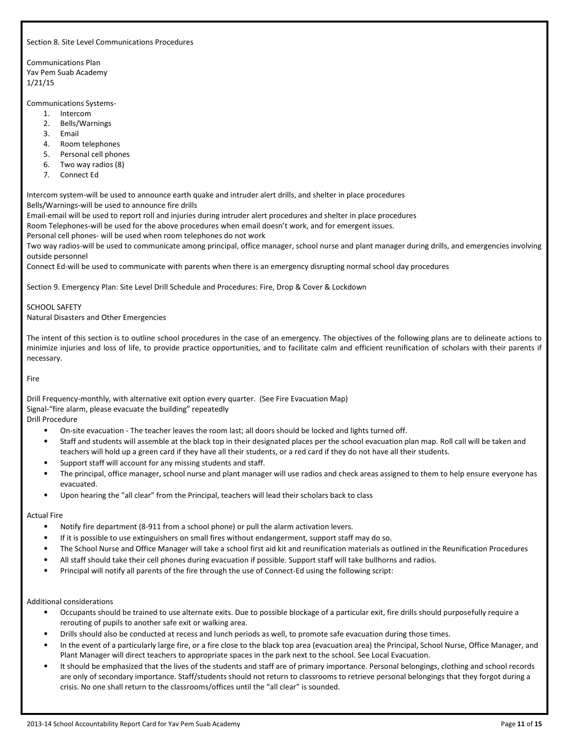Section 8. Site Level Communications Procedures

Communications Plan Yav Pem Suab Academy 1/21/15

Communications Systems-

- 1. Intercom
- 2. Bells/Warnings
- 3. Email
- 4. Room telephones
- 5. Personal cell phones
- 6. Two way radios (8)
- 7. Connect Ed

Intercom system-will be used to announce earth quake and intruder alert drills, and shelter in place procedures Bells/Warnings-will be used to announce fire drills

Email-email will be used to report roll and injuries during intruder alert procedures and shelter in place procedures

Room Telephones-will be used for the above procedures when email doesn't work, and for emergent issues.

Personal cell phones- will be used when room telephones do not work

Two way radios-will be used to communicate among principal, office manager, school nurse and plant manager during drills, and emergencies involving outside personnel

Connect Ed-will be used to communicate with parents when there is an emergency disrupting normal school day procedures

Section 9. Emergency Plan: Site Level Drill Schedule and Procedures: Fire, Drop & Cover & Lockdown

SCHOOL SAFETY Natural Disasters and Other Emergencies

The intent of this section is to outline school procedures in the case of an emergency. The objectives of the following plans are to delineate actions to minimize injuries and loss of life, to provide practice opportunities, and to facilitate calm and efficient reunification of scholars with their parents if necessary.

Fire

Drill Frequency-monthly, with alternative exit option every quarter. (See Fire Evacuation Map) Signal-"fire alarm, please evacuate the building" repeatedly Drill Procedure

- On-site evacuation The teacher leaves the room last; all doors should be locked and lights turned off.
- Staff and students will assemble at the black top in their designated places per the school evacuation plan map. Roll call will be taken and teachers will hold up a green card if they have all their students, or a red card if they do not have all their students.
- Support staff will account for any missing students and staff.
- The principal, office manager, school nurse and plant manager will use radios and check areas assigned to them to help ensure everyone has evacuated.
- Upon hearing the "all clear" from the Principal, teachers will lead their scholars back to class

#### Actual Fire

- Notify fire department (8-911 from a school phone) or pull the alarm activation levers.
- If it is possible to use extinguishers on small fires without endangerment, support staff may do so.
- The School Nurse and Office Manager will take a school first aid kit and reunification materials as outlined in the Reunification Procedures
- All staff should take their cell phones during evacuation if possible. Support staff will take bullhorns and radios.
- Principal will notify all parents of the fire through the use of Connect-Ed using the following script:

#### Additional considerations

- Occupants should be trained to use alternate exits. Due to possible blockage of a particular exit, fire drills should purposefully require a rerouting of pupils to another safe exit or walking area.
- Drills should also be conducted at recess and lunch periods as well, to promote safe evacuation during those times.
- In the event of a particularly large fire, or a fire close to the black top area (evacuation area) the Principal, School Nurse, Office Manager, and Plant Manager will direct teachers to appropriate spaces in the park next to the school. See Local Evacuation.
- It should be emphasized that the lives of the students and staff are of primary importance. Personal belongings, clothing and school records are only of secondary importance. Staff/students should not return to classrooms to retrieve personal belongings that they forgot during a crisis. No one shall return to the classrooms/offices until the "all clear" is sounded.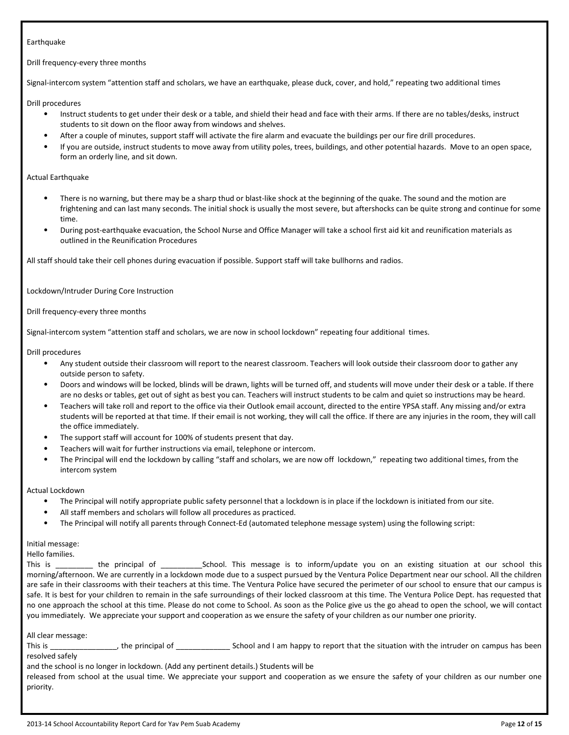# Earthquake

Drill frequency-every three months

Signal-intercom system "attention staff and scholars, we have an earthquake, please duck, cover, and hold," repeating two additional times

Drill procedures

- Instruct students to get under their desk or a table, and shield their head and face with their arms. If there are no tables/desks, instruct students to sit down on the floor away from windows and shelves.
- After a couple of minutes, support staff will activate the fire alarm and evacuate the buildings per our fire drill procedures.
- If you are outside, instruct students to move away from utility poles, trees, buildings, and other potential hazards. Move to an open space, form an orderly line, and sit down.

#### Actual Earthquake

- There is no warning, but there may be a sharp thud or blast-like shock at the beginning of the quake. The sound and the motion are frightening and can last many seconds. The initial shock is usually the most severe, but aftershocks can be quite strong and continue for some time.
- During post-earthquake evacuation, the School Nurse and Office Manager will take a school first aid kit and reunification materials as outlined in the Reunification Procedures

All staff should take their cell phones during evacuation if possible. Support staff will take bullhorns and radios.

Lockdown/Intruder During Core Instruction

Drill frequency-every three months

Signal-intercom system "attention staff and scholars, we are now in school lockdown" repeating four additional times.

Drill procedures

- Any student outside their classroom will report to the nearest classroom. Teachers will look outside their classroom door to gather any outside person to safety.
- Doors and windows will be locked, blinds will be drawn, lights will be turned off, and students will move under their desk or a table. If there are no desks or tables, get out of sight as best you can. Teachers will instruct students to be calm and quiet so instructions may be heard.
- Teachers will take roll and report to the office via their Outlook email account, directed to the entire YPSA staff. Any missing and/or extra students will be reported at that time. If their email is not working, they will call the office. If there are any injuries in the room, they will call the office immediately.
- The support staff will account for 100% of students present that day.
- Teachers will wait for further instructions via email, telephone or intercom.
- The Principal will end the lockdown by calling "staff and scholars, we are now off lockdown," repeating two additional times, from the intercom system

Actual Lockdown

- The Principal will notify appropriate public safety personnel that a lockdown is in place if the lockdown is initiated from our site.
- All staff members and scholars will follow all procedures as practiced.
- The Principal will notify all parents through Connect-Ed (automated telephone message system) using the following script:

Initial message:

Hello families.

This is \_\_\_\_\_\_\_\_\_ the principal of \_\_\_\_\_\_\_\_\_\_School. This message is to inform/update you on an existing situation at our school this morning/afternoon. We are currently in a lockdown mode due to a suspect pursued by the Ventura Police Department near our school. All the children are safe in their classrooms with their teachers at this time. The Ventura Police have secured the perimeter of our school to ensure that our campus is safe. It is best for your children to remain in the safe surroundings of their locked classroom at this time. The Ventura Police Dept. has requested that no one approach the school at this time. Please do not come to School. As soon as the Police give us the go ahead to open the school, we will contact you immediately. We appreciate your support and cooperation as we ensure the safety of your children as our number one priority.

All clear message:

This is \_\_\_\_\_\_\_\_\_\_\_\_\_\_\_, the principal of \_\_\_\_\_\_\_\_\_\_\_\_\_\_\_\_\_\_\_\_\_School and I am happy to report that the situation with the intruder on campus has been resolved safely

and the school is no longer in lockdown. (Add any pertinent details.) Students will be

released from school at the usual time. We appreciate your support and cooperation as we ensure the safety of your children as our number one priority.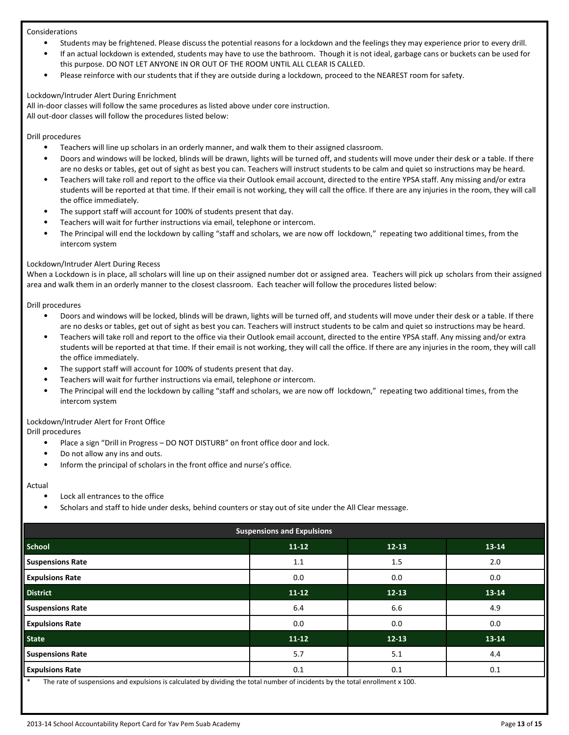#### Considerations

- Students may be frightened. Please discuss the potential reasons for a lockdown and the feelings they may experience prior to every drill.
- If an actual lockdown is extended, students may have to use the bathroom. Though it is not ideal, garbage cans or buckets can be used for this purpose. DO NOT LET ANYONE IN OR OUT OF THE ROOM UNTIL ALL CLEAR IS CALLED.
- Please reinforce with our students that if they are outside during a lockdown, proceed to the NEAREST room for safety.

#### Lockdown/Intruder Alert During Enrichment

All in-door classes will follow the same procedures as listed above under core instruction. All out-door classes will follow the procedures listed below:

# Drill procedures

- Teachers will line up scholars in an orderly manner, and walk them to their assigned classroom.
- Doors and windows will be locked, blinds will be drawn, lights will be turned off, and students will move under their desk or a table. If there are no desks or tables, get out of sight as best you can. Teachers will instruct students to be calm and quiet so instructions may be heard.
- Teachers will take roll and report to the office via their Outlook email account, directed to the entire YPSA staff. Any missing and/or extra students will be reported at that time. If their email is not working, they will call the office. If there are any injuries in the room, they will call the office immediately.
- The support staff will account for 100% of students present that day.
- Teachers will wait for further instructions via email, telephone or intercom.
- The Principal will end the lockdown by calling "staff and scholars, we are now off lockdown," repeating two additional times, from the intercom system

# Lockdown/Intruder Alert During Recess

When a Lockdown is in place, all scholars will line up on their assigned number dot or assigned area. Teachers will pick up scholars from their assigned area and walk them in an orderly manner to the closest classroom. Each teacher will follow the procedures listed below:

Drill procedures

- Doors and windows will be locked, blinds will be drawn, lights will be turned off, and students will move under their desk or a table. If there are no desks or tables, get out of sight as best you can. Teachers will instruct students to be calm and quiet so instructions may be heard.
- Teachers will take roll and report to the office via their Outlook email account, directed to the entire YPSA staff. Any missing and/or extra students will be reported at that time. If their email is not working, they will call the office. If there are any injuries in the room, they will call the office immediately.
- The support staff will account for 100% of students present that day.
- Teachers will wait for further instructions via email, telephone or intercom.
- The Principal will end the lockdown by calling "staff and scholars, we are now off lockdown," repeating two additional times, from the intercom system

# Lockdown/Intruder Alert for Front Office

Drill procedures

- Place a sign "Drill in Progress DO NOT DISTURB" on front office door and lock.
- Do not allow any ins and outs.
- Inform the principal of scholars in the front office and nurse's office.

#### Actual

- Lock all entrances to the office
- Scholars and staff to hide under desks, behind counters or stay out of site under the All Clear message.

| <b>Suspensions and Expulsions</b> |           |           |           |  |  |  |
|-----------------------------------|-----------|-----------|-----------|--|--|--|
| <b>School</b>                     | $11 - 12$ | $12 - 13$ | 13-14     |  |  |  |
| <b>Suspensions Rate</b>           | 1.1       | 1.5       | 2.0       |  |  |  |
| <b>Expulsions Rate</b>            | 0.0       | 0.0       | 0.0       |  |  |  |
| <b>District</b>                   | $11-12$   | $12 - 13$ | 13-14     |  |  |  |
| <b>Suspensions Rate</b>           | 6.4       | 6.6       | 4.9       |  |  |  |
| <b>Expulsions Rate</b>            | 0.0       | 0.0       | 0.0       |  |  |  |
| <b>State</b>                      | $11 - 12$ | $12 - 13$ | $13 - 14$ |  |  |  |
| <b>Suspensions Rate</b>           | 5.7       | 5.1       | 4.4       |  |  |  |
| <b>Expulsions Rate</b>            | 0.1       | 0.1       | 0.1       |  |  |  |

The rate of suspensions and expulsions is calculated by dividing the total number of incidents by the total enrollment x 100.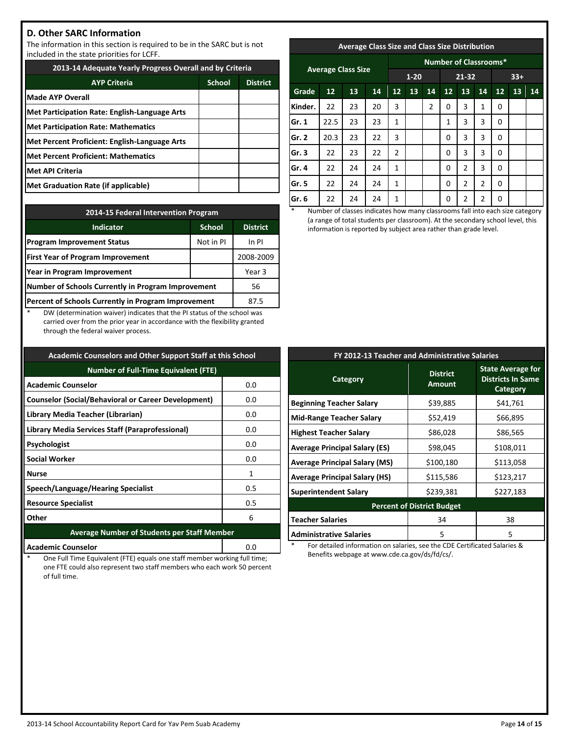# **D. Other SARC Information**

The information in this section is required to be in the SARC but is not included in the state priorities for LCFF.

| 2013-14 Adequate Yearly Progress Overall and by Criteria |               |                 |  |  |
|----------------------------------------------------------|---------------|-----------------|--|--|
| <b>AYP Criteria</b>                                      | <b>School</b> | <b>District</b> |  |  |
| <b>Made AYP Overall</b>                                  |               |                 |  |  |
| Met Participation Rate: English-Language Arts            |               |                 |  |  |
| <b>Met Participation Rate: Mathematics</b>               |               |                 |  |  |
| Met Percent Proficient: English-Language Arts            |               |                 |  |  |
| <b>Met Percent Proficient: Mathematics</b>               |               |                 |  |  |
| Met API Criteria                                         |               |                 |  |  |
| Met Graduation Rate (if applicable)                      |               |                 |  |  |

| 2014-15 Federal Intervention Program                |                 |           |  |  |
|-----------------------------------------------------|-----------------|-----------|--|--|
| <b>Indicator</b>                                    | <b>District</b> |           |  |  |
| <b>Program Improvement Status</b>                   | Not in PI       | In PI     |  |  |
| <b>First Year of Program Improvement</b>            |                 | 2008-2009 |  |  |
| Year in Program Improvement                         | Year 3          |           |  |  |
| Number of Schools Currently in Program Improvement  | 56              |           |  |  |
| Percent of Schools Currently in Program Improvement | 87.5            |           |  |  |

DW (determination waiver) indicates that the PI status of the school was carried over from the prior year in accordance with the flexibility granted through the federal waiver process.

| <b>Academic Counselors and Other Support Staff at this School</b> |     |  |  |  |
|-------------------------------------------------------------------|-----|--|--|--|
| <b>Number of Full-Time Equivalent (FTE)</b>                       |     |  |  |  |
| <b>Academic Counselor</b>                                         | 0.0 |  |  |  |
| <b>Counselor (Social/Behavioral or Career Development)</b>        | 0.0 |  |  |  |
| Library Media Teacher (Librarian)                                 | 0.0 |  |  |  |
| Library Media Services Staff (Paraprofessional)                   | 0.0 |  |  |  |
| Psychologist                                                      | 0.0 |  |  |  |
| <b>Social Worker</b>                                              | 0.0 |  |  |  |
| Nurse                                                             | 1   |  |  |  |
| Speech/Language/Hearing Specialist                                | 0.5 |  |  |  |
| 0.5<br><b>Resource Specialist</b>                                 |     |  |  |  |
| Other<br>6                                                        |     |  |  |  |
| <b>Average Number of Students per Staff Member</b>                |     |  |  |  |
|                                                                   |     |  |  |  |

One Full Time Equivalent (FTE) equals one staff member working full time; one FTE could also represent two staff members who each work 50 percent of full time.

**Academic Counselor 1888 1888 1888 1888 1888 1888 1888 1888 1888 1888** 

# **Average Class Size and Class Size Distribution**

| <b>Average Class Size</b> |      |    |    | <b>Number of Classrooms*</b> |    |                |          |                |    |    |    |    |
|---------------------------|------|----|----|------------------------------|----|----------------|----------|----------------|----|----|----|----|
|                           |      |    |    | $1 - 20$                     |    | 21-32          |          | $33+$          |    |    |    |    |
| Grade                     | 12   | 13 | 14 | 12                           | 13 | 14             | 12       | 13             | 14 | 12 | 13 | 14 |
| Kinder.                   | 22   | 23 | 20 | 3                            |    | $\overline{2}$ | 0        | 3              | 1  | 0  |    |    |
| Gr. 1                     | 22.5 | 23 | 23 | 1                            |    |                | 1        | 3              | 3  | 0  |    |    |
| Gr. 2                     | 20.3 | 23 | 22 | 3                            |    |                | $\Omega$ | 3              | 3  | 0  |    |    |
| Gr. 3                     | 22   | 23 | 22 | 2                            |    |                | $\Omega$ | 3              | 3  | 0  |    |    |
| Gr. 4                     | 22   | 24 | 24 | $\mathbf{1}$                 |    |                | $\Omega$ | $\overline{2}$ | 3  | 0  |    |    |
| Gr. 5                     | 22   | 24 | 24 | 1                            |    |                | 0        | 2              | 2  | 0  |    |    |
| Gr. 6                     | 22   | 24 | 24 | 1                            |    |                | 0        | 2              | 2  | 0  |    |    |

Number of classes indicates how many classrooms fall into each size category (a range of total students per classroom). At the secondary school level, this information is reported by subject area rather than grade level.

| FY 2012-13 Teacher and Administrative Salaries |                                  |                                                                         |  |  |  |  |
|------------------------------------------------|----------------------------------|-------------------------------------------------------------------------|--|--|--|--|
| Category                                       | <b>District</b><br><b>Amount</b> | <b>State Average for</b><br><b>Districts In Same</b><br><b>Category</b> |  |  |  |  |
| <b>Beginning Teacher Salary</b>                | \$39,885                         | \$41,761                                                                |  |  |  |  |
| <b>Mid-Range Teacher Salary</b>                | \$52,419                         | \$66,895                                                                |  |  |  |  |
| <b>Highest Teacher Salary</b>                  | \$86,028                         | \$86,565                                                                |  |  |  |  |
| Average Principal Salary (ES)                  | \$98,045                         | \$108,011                                                               |  |  |  |  |
| Average Principal Salary (MS)                  | \$100,180                        | \$113,058                                                               |  |  |  |  |
| <b>Average Principal Salary (HS)</b>           | \$115,586                        | \$123,217                                                               |  |  |  |  |
| <b>Superintendent Salary</b>                   | \$239,381                        | \$227,183                                                               |  |  |  |  |
| <b>Percent of District Budget</b>              |                                  |                                                                         |  |  |  |  |
| <b>Teacher Salaries</b>                        | 34                               | 38                                                                      |  |  |  |  |
| <b>Administrative Salaries</b>                 | 5                                | 5                                                                       |  |  |  |  |

For detailed information on salaries, see the CDE Certificated Salaries & Benefits webpage at www.cde.ca.gov/ds/fd/cs/.